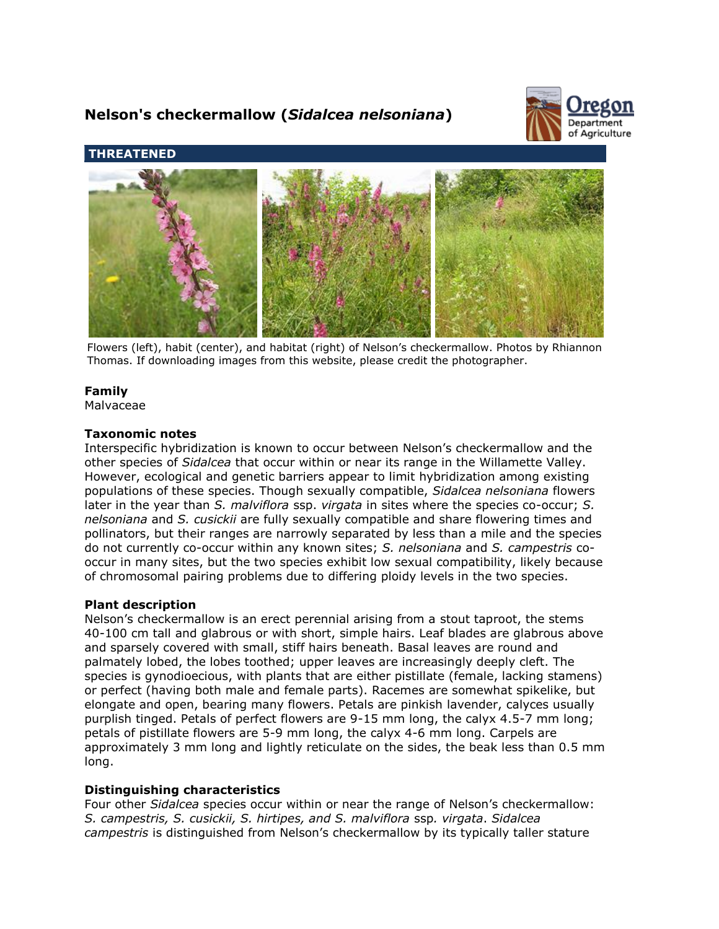# **Nelson's checkermallow (***Sidalcea nelsoniana***)**



**THREATENED**



Flowers (left), habit (center), and habitat (right) of Nelson's checkermallow. Photos by Rhiannon Thomas. If downloading images from this website, please credit the photographer.

# **Family**

Malvaceae

## **Taxonomic notes**

Interspecific hybridization is known to occur between Nelson's checkermallow and the other species of *Sidalcea* that occur within or near its range in the Willamette Valley. However, ecological and genetic barriers appear to limit hybridization among existing populations of these species. Though sexually compatible, *Sidalcea nelsoniana* flowers later in the year than *S. malviflora* ssp. *virgata* in sites where the species co-occur; *S. nelsoniana* and *S. cusickii* are fully sexually compatible and share flowering times and pollinators, but their ranges are narrowly separated by less than a mile and the species do not currently co-occur within any known sites; *S. nelsoniana* and *S. campestris* cooccur in many sites, but the two species exhibit low sexual compatibility, likely because of chromosomal pairing problems due to differing ploidy levels in the two species.

# **Plant description**

Nelson's checkermallow is an erect perennial arising from a stout taproot, the stems 40-100 cm tall and glabrous or with short, simple hairs. Leaf blades are glabrous above and sparsely covered with small, stiff hairs beneath. Basal leaves are round and palmately lobed, the lobes toothed; upper leaves are increasingly deeply cleft. The species is gynodioecious, with plants that are either pistillate (female, lacking stamens) or perfect (having both male and female parts). Racemes are somewhat spikelike, but elongate and open, bearing many flowers. Petals are pinkish lavender, calyces usually purplish tinged. Petals of perfect flowers are 9-15 mm long, the calyx 4.5-7 mm long; petals of pistillate flowers are 5-9 mm long, the calyx 4-6 mm long. Carpels are approximately 3 mm long and lightly reticulate on the sides, the beak less than 0.5 mm long.

# **Distinguishing characteristics**

Four other *Sidalcea* species occur within or near the range of Nelson's checkermallow: *S. campestris, S. cusickii, S. hirtipes, and S. malviflora* ssp*. virgata*. *Sidalcea campestris* is distinguished from Nelson's checkermallow by its typically taller stature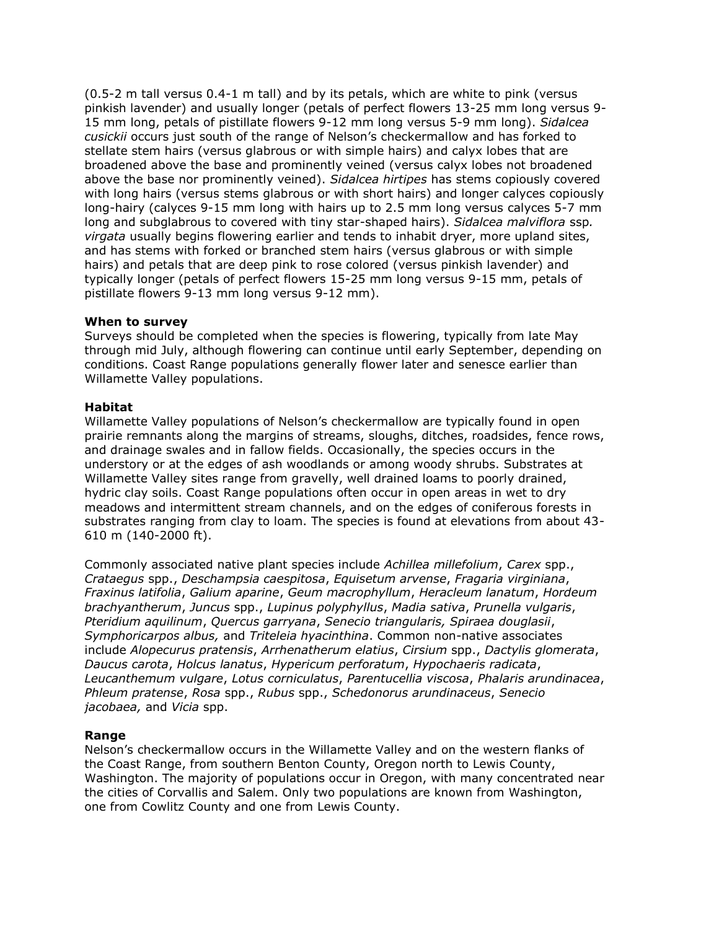(0.5-2 m tall versus 0.4-1 m tall) and by its petals, which are white to pink (versus pinkish lavender) and usually longer (petals of perfect flowers 13-25 mm long versus 9- 15 mm long, petals of pistillate flowers 9-12 mm long versus 5-9 mm long). *Sidalcea cusickii* occurs just south of the range of Nelson's checkermallow and has forked to stellate stem hairs (versus glabrous or with simple hairs) and calyx lobes that are broadened above the base and prominently veined (versus calyx lobes not broadened above the base nor prominently veined). *Sidalcea hirtipes* has stems copiously covered with long hairs (versus stems glabrous or with short hairs) and longer calyces copiously long-hairy (calyces 9-15 mm long with hairs up to 2.5 mm long versus calyces 5-7 mm long and subglabrous to covered with tiny star-shaped hairs). *Sidalcea malviflora* ssp*. virgata* usually begins flowering earlier and tends to inhabit dryer, more upland sites, and has stems with forked or branched stem hairs (versus glabrous or with simple hairs) and petals that are deep pink to rose colored (versus pinkish lavender) and typically longer (petals of perfect flowers 15-25 mm long versus 9-15 mm, petals of pistillate flowers 9-13 mm long versus 9-12 mm).

#### **When to survey**

Surveys should be completed when the species is flowering, typically from late May through mid July, although flowering can continue until early September, depending on conditions. Coast Range populations generally flower later and senesce earlier than Willamette Valley populations.

## **Habitat**

Willamette Valley populations of Nelson's checkermallow are typically found in open prairie remnants along the margins of streams, sloughs, ditches, roadsides, fence rows, and drainage swales and in fallow fields. Occasionally, the species occurs in the understory or at the edges of ash woodlands or among woody shrubs. Substrates at Willamette Valley sites range from gravelly, well drained loams to poorly drained, hydric clay soils. Coast Range populations often occur in open areas in wet to dry meadows and intermittent stream channels, and on the edges of coniferous forests in substrates ranging from clay to loam. The species is found at elevations from about 43- 610 m (140-2000 ft).

Commonly associated native plant species include *Achillea millefolium*, *Carex* spp., *Crataegus* spp., *Deschampsia caespitosa*, *Equisetum arvense*, *Fragaria virginiana*, *Fraxinus latifolia*, *Galium aparine*, *Geum macrophyllum*, *Heracleum lanatum*, *Hordeum brachyantherum*, *Juncus* spp., *Lupinus polyphyllus*, *Madia sativa*, *Prunella vulgaris*, *Pteridium aquilinum*, *Quercus garryana*, *Senecio triangularis, Spiraea douglasii*, *Symphoricarpos albus,* and *Triteleia hyacinthina*. Common non-native associates include *Alopecurus pratensis*, *Arrhenatherum elatius*, *Cirsium* spp., *Dactylis glomerata*, *Daucus carota*, *Holcus lanatus*, *Hypericum perforatum*, *Hypochaeris radicata*, *Leucanthemum vulgare*, *Lotus corniculatus*, *Parentucellia viscosa*, *Phalaris arundinacea*, *Phleum pratense*, *Rosa* spp., *Rubus* spp., *Schedonorus arundinaceus*, *Senecio jacobaea,* and *Vicia* spp.

# **Range**

Nelson's checkermallow occurs in the Willamette Valley and on the western flanks of the Coast Range, from southern Benton County, Oregon north to Lewis County, Washington. The majority of populations occur in Oregon, with many concentrated near the cities of Corvallis and Salem. Only two populations are known from Washington, one from Cowlitz County and one from Lewis County.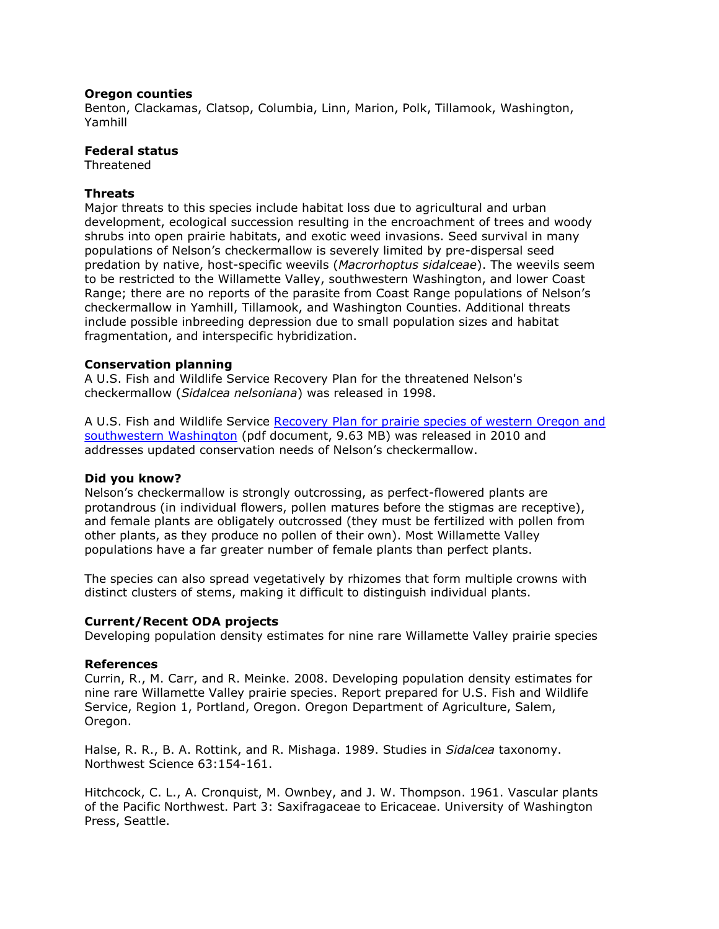## **Oregon counties**

Benton, Clackamas, Clatsop, Columbia, Linn, Marion, Polk, Tillamook, Washington, Yamhill

# **Federal status**

Threatened

## **Threats**

Major threats to this species include habitat loss due to agricultural and urban development, ecological succession resulting in the encroachment of trees and woody shrubs into open prairie habitats, and exotic weed invasions. Seed survival in many populations of Nelson's checkermallow is severely limited by pre-dispersal seed predation by native, host-specific weevils (*Macrorhoptus sidalceae*). The weevils seem to be restricted to the Willamette Valley, southwestern Washington, and lower Coast Range; there are no reports of the parasite from Coast Range populations of Nelson's checkermallow in Yamhill, Tillamook, and Washington Counties. Additional threats include possible inbreeding depression due to small population sizes and habitat fragmentation, and interspecific hybridization.

## **Conservation planning**

A U.S. Fish and Wildlife Service Recovery Plan for the threatened Nelson's checkermallow (*Sidalcea nelsoniana*) was released in 1998.

A U.S. Fish and Wildlife Service [Recovery Plan for prairie species of western Oregon and](http://ecos.fws.gov/docs/recovery_plan/100629.pdf)  [southwestern Washington](http://ecos.fws.gov/docs/recovery_plan/100629.pdf) (pdf document, 9.63 MB) was released in 2010 and addresses updated conservation needs of Nelson's checkermallow.

#### **Did you know?**

Nelson's checkermallow is strongly outcrossing, as perfect-flowered plants are protandrous (in individual flowers, pollen matures before the stigmas are receptive), and female plants are obligately outcrossed (they must be fertilized with pollen from other plants, as they produce no pollen of their own). Most Willamette Valley populations have a far greater number of female plants than perfect plants.

The species can also spread vegetatively by rhizomes that form multiple crowns with distinct clusters of stems, making it difficult to distinguish individual plants.

#### **Current/Recent ODA projects**

Developing population density estimates for nine rare Willamette Valley prairie species

#### **References**

Currin, R., M. Carr, and R. Meinke. 2008. Developing population density estimates for nine rare Willamette Valley prairie species. Report prepared for U.S. Fish and Wildlife Service, Region 1, Portland, Oregon. Oregon Department of Agriculture, Salem, Oregon.

Halse, R. R., B. A. Rottink, and R. Mishaga. 1989. Studies in *Sidalcea* taxonomy. Northwest Science 63:154-161.

Hitchcock, C. L., A. Cronquist, M. Ownbey, and J. W. Thompson. 1961. Vascular plants of the Pacific Northwest. Part 3: Saxifragaceae to Ericaceae. University of Washington Press, Seattle.